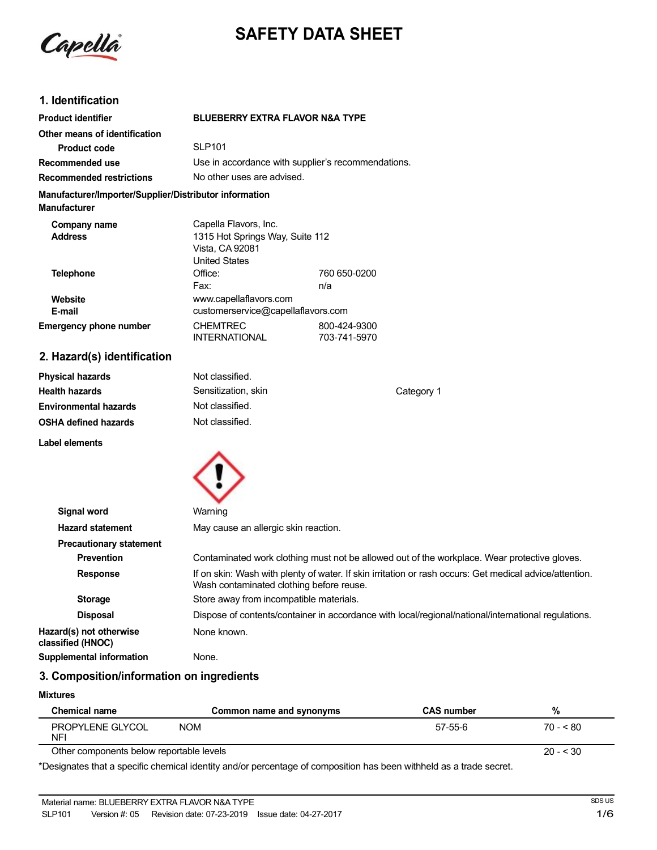

# **SAFETY DATA SHEET**

### **1. Identification**

| <b>Product identifier</b>                                                     | <b>BLUEBERRY EXTRA FLAVOR N&amp;A TYPE</b>                                                          |                              |            |
|-------------------------------------------------------------------------------|-----------------------------------------------------------------------------------------------------|------------------------------|------------|
| Other means of identification                                                 |                                                                                                     |                              |            |
| <b>Product code</b>                                                           | <b>SLP101</b>                                                                                       |                              |            |
| Recommended use                                                               | Use in accordance with supplier's recommendations.                                                  |                              |            |
| <b>Recommended restrictions</b>                                               |                                                                                                     | No other uses are advised.   |            |
| Manufacturer/Importer/Supplier/Distributor information<br><b>Manufacturer</b> |                                                                                                     |                              |            |
| Company name<br><b>Address</b>                                                | Capella Flavors, Inc.<br>1315 Hot Springs Way, Suite 112<br>Vista, CA 92081<br><b>United States</b> |                              |            |
| <b>Telephone</b>                                                              | Office:<br>Fax:                                                                                     | 760 650-0200<br>n/a          |            |
| Website<br>E-mail                                                             | www.capellaflavors.com<br>customerservice@capellaflavors.com                                        |                              |            |
| <b>Emergency phone number</b>                                                 | <b>CHEMTREC</b><br><b>INTERNATIONAL</b>                                                             | 800-424-9300<br>703-741-5970 |            |
| 2. Hazard(s) identification                                                   |                                                                                                     |                              |            |
| <b>Physical hazards</b>                                                       | Not classified.                                                                                     |                              |            |
| <b>Health hazards</b>                                                         | Sensitization, skin                                                                                 |                              | Category 1 |

**Label elements**

**Environmental hazards OSHA defined hazards**



Not classified. Not classified.

| Signal word                                  | Warning                                                                                                                                             |
|----------------------------------------------|-----------------------------------------------------------------------------------------------------------------------------------------------------|
| <b>Hazard statement</b>                      | May cause an allergic skin reaction.                                                                                                                |
| <b>Precautionary statement</b>               |                                                                                                                                                     |
| <b>Prevention</b>                            | Contaminated work clothing must not be allowed out of the workplace. Wear protective gloves.                                                        |
| <b>Response</b>                              | If on skin: Wash with plenty of water. If skin irritation or rash occurs: Get medical advice/attention.<br>Wash contaminated clothing before reuse. |
| <b>Storage</b>                               | Store away from incompatible materials.                                                                                                             |
| <b>Disposal</b>                              | Dispose of contents/container in accordance with local/regional/national/international regulations.                                                 |
| Hazard(s) not otherwise<br>classified (HNOC) | None known.                                                                                                                                         |
| <b>Supplemental information</b>              | None.                                                                                                                                               |
|                                              |                                                                                                                                                     |

## **3. Composition/information on ingredients**

#### **Mixtures**

| <b>Chemical name</b>                     | Common name and synonyms | <b>CAS number</b> | %         |
|------------------------------------------|--------------------------|-------------------|-----------|
| PROPYLENE GLYCOL<br><b>NFI</b>           | <b>NOM</b>               | 57-55-6           | $70 - 80$ |
| Other components below reportable levels |                          |                   | $20 - 30$ |

\*Designates that a specific chemical identity and/or percentage of composition has been withheld as a trade secret.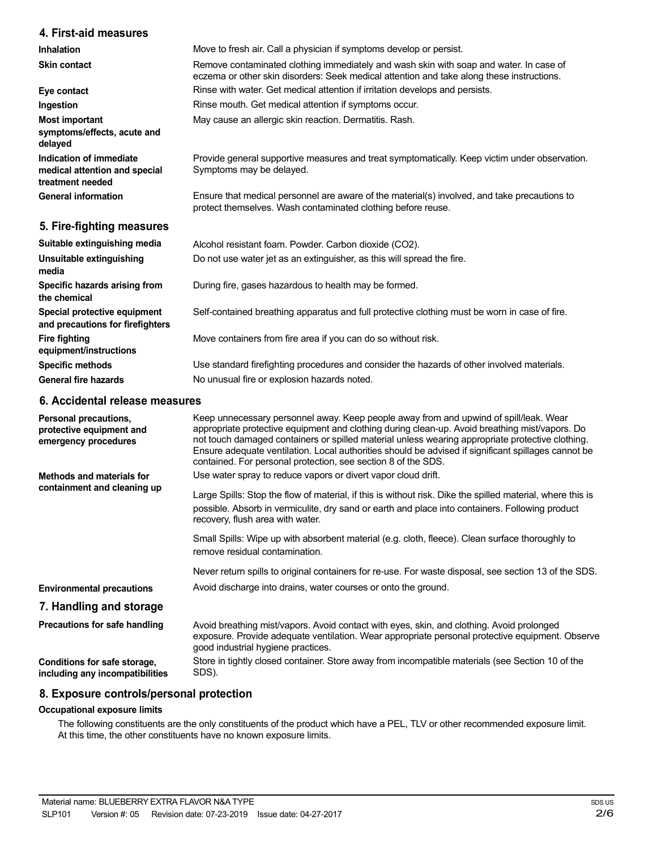### **4. First-aid measures**

**Inhalation Skin contact**

| <b>Skin contact</b>                                                          | Remove contaminated clothing immediately and wash skin with soap and water. In case of<br>eczema or other skin disorders: Seek medical attention and take along these instructions. |
|------------------------------------------------------------------------------|-------------------------------------------------------------------------------------------------------------------------------------------------------------------------------------|
| Eye contact                                                                  | Rinse with water. Get medical attention if irritation develops and persists.                                                                                                        |
| Ingestion                                                                    | Rinse mouth. Get medical attention if symptoms occur.                                                                                                                               |
| Most important<br>symptoms/effects, acute and<br>delayed                     | May cause an allergic skin reaction. Dermatitis. Rash.                                                                                                                              |
| Indication of immediate<br>medical attention and special<br>treatment needed | Provide general supportive measures and treat symptomatically. Keep victim under observation.<br>Symptoms may be delayed.                                                           |
| <b>General information</b>                                                   | Ensure that medical personnel are aware of the material(s) involved, and take precautions to<br>protect themselves. Wash contaminated clothing before reuse.                        |
| 5. Fire-fighting measures                                                    |                                                                                                                                                                                     |
| Suitable extinguishing media                                                 | Alcohol resistant foam. Powder. Carbon dioxide (CO2).                                                                                                                               |
| Unsuitable extinguishing<br>media                                            | Do not use water jet as an extinguisher, as this will spread the fire.                                                                                                              |
| Specific hazards arising from<br>the chemical                                | During fire, gases hazardous to health may be formed.                                                                                                                               |
| Special protective equipment                                                 | Self-contained breathing apparatus and full protective clothing must be worn in case of fire.                                                                                       |

Move to fresh air. Call a physician if symptoms develop or persist.

Move containers from fire area if you can do so without risk.

Use standard firefighting procedures and consider the hazards of other involved materials. No unusual fire or explosion hazards noted.

### **6. Accidental release measures**

**and precautions for firefighters**

**equipment/instructions Specific methods General fire hazards**

**Fire fighting**

| Personal precautions,<br>protective equipment and<br>emergency procedures | Keep unnecessary personnel away. Keep people away from and upwind of spill/leak. Wear<br>appropriate protective equipment and clothing during clean-up. Avoid breathing mist/vapors. Do<br>not touch damaged containers or spilled material unless wearing appropriate protective clothing.<br>Ensure adequate ventilation. Local authorities should be advised if significant spillages cannot be<br>contained. For personal protection, see section 8 of the SDS. |
|---------------------------------------------------------------------------|---------------------------------------------------------------------------------------------------------------------------------------------------------------------------------------------------------------------------------------------------------------------------------------------------------------------------------------------------------------------------------------------------------------------------------------------------------------------|
| Methods and materials for                                                 | Use water spray to reduce vapors or divert vapor cloud drift.                                                                                                                                                                                                                                                                                                                                                                                                       |
| containment and cleaning up                                               | Large Spills: Stop the flow of material, if this is without risk. Dike the spilled material, where this is<br>possible. Absorb in vermiculite, dry sand or earth and place into containers. Following product<br>recovery, flush area with water.                                                                                                                                                                                                                   |
|                                                                           | Small Spills: Wipe up with absorbent material (e.g. cloth, fleece). Clean surface thoroughly to<br>remove residual contamination.                                                                                                                                                                                                                                                                                                                                   |
|                                                                           | Never return spills to original containers for re-use. For waste disposal, see section 13 of the SDS.                                                                                                                                                                                                                                                                                                                                                               |
| <b>Environmental precautions</b>                                          | Avoid discharge into drains, water courses or onto the ground.                                                                                                                                                                                                                                                                                                                                                                                                      |
| 7. Handling and storage                                                   |                                                                                                                                                                                                                                                                                                                                                                                                                                                                     |
| Precautions for safe handling                                             | Avoid breathing mist/vapors. Avoid contact with eyes, skin, and clothing. Avoid prolonged<br>exposure. Provide adequate ventilation. Wear appropriate personal protective equipment. Observe<br>good industrial hygiene practices.                                                                                                                                                                                                                                  |
| Conditions for safe storage,<br>including any incompatibilities           | Store in tightly closed container. Store away from incompatible materials (see Section 10 of the<br>SDS).                                                                                                                                                                                                                                                                                                                                                           |

### **8. Exposure controls/personal protection**

### **Occupational exposure limits**

The following constituents are the only constituents of the product which have a PEL, TLV or other recommended exposure limit. At this time, the other constituents have no known exposure limits.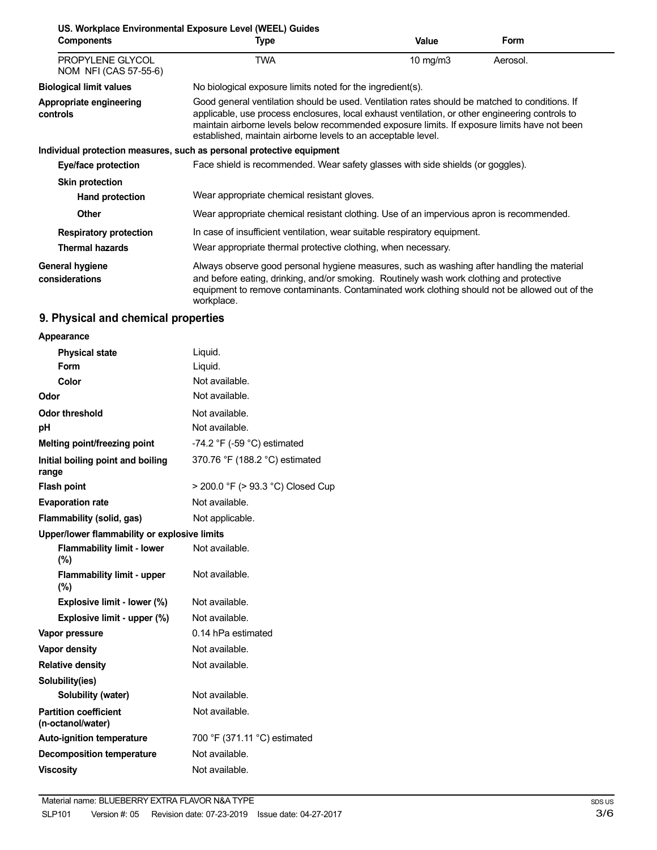| <b>Components</b>                         | US. Workplace Environmental Exposure Level (WEEL) Guides<br>Type                                                                                                                                                                                                                                                                                                   | Value      | <b>Form</b> |
|-------------------------------------------|--------------------------------------------------------------------------------------------------------------------------------------------------------------------------------------------------------------------------------------------------------------------------------------------------------------------------------------------------------------------|------------|-------------|
| PROPYLENE GLYCOL<br>NOM NFI (CAS 57-55-6) | TWA                                                                                                                                                                                                                                                                                                                                                                | 10 $mg/m3$ | Aerosol.    |
| <b>Biological limit values</b>            | No biological exposure limits noted for the ingredient(s).                                                                                                                                                                                                                                                                                                         |            |             |
| Appropriate engineering<br>controls       | Good general ventilation should be used. Ventilation rates should be matched to conditions. If<br>applicable, use process enclosures, local exhaust ventilation, or other engineering controls to<br>maintain airborne levels below recommended exposure limits. If exposure limits have not been<br>established, maintain airborne levels to an acceptable level. |            |             |
|                                           | Individual protection measures, such as personal protective equipment                                                                                                                                                                                                                                                                                              |            |             |
| Eye/face protection                       | Face shield is recommended. Wear safety glasses with side shields (or goggles).                                                                                                                                                                                                                                                                                    |            |             |
| <b>Skin protection</b>                    |                                                                                                                                                                                                                                                                                                                                                                    |            |             |
| <b>Hand protection</b>                    | Wear appropriate chemical resistant gloves.                                                                                                                                                                                                                                                                                                                        |            |             |
| <b>Other</b>                              | Wear appropriate chemical resistant clothing. Use of an impervious apron is recommended.                                                                                                                                                                                                                                                                           |            |             |
| <b>Respiratory protection</b>             | In case of insufficient ventilation, wear suitable respiratory equipment.                                                                                                                                                                                                                                                                                          |            |             |
| <b>Thermal hazards</b>                    | Wear appropriate thermal protective clothing, when necessary.                                                                                                                                                                                                                                                                                                      |            |             |
| General hygiene<br>considerations         | Always observe good personal hygiene measures, such as washing after handling the material<br>and before eating, drinking, and/or smoking. Routinely wash work clothing and protective<br>equipment to remove contaminants. Contaminated work clothing should not be allowed out of the<br>workplace.                                                              |            |             |

# **9. Physical and chemical properties**

| Appearance                                        |                                               |  |
|---------------------------------------------------|-----------------------------------------------|--|
| <b>Physical state</b>                             | Liquid.                                       |  |
| Form                                              | Liquid.                                       |  |
| Color                                             | Not available.                                |  |
| Odor                                              | Not available.                                |  |
| <b>Odor threshold</b>                             | Not available.                                |  |
| рH                                                | Not available.                                |  |
| Melting point/freezing point                      | -74.2 $\degree$ F (-59 $\degree$ C) estimated |  |
| Initial boiling point and boiling<br>range        | 370.76 °F (188.2 °C) estimated                |  |
| <b>Flash point</b>                                | > 200.0 °F (> 93.3 °C) Closed Cup             |  |
| <b>Evaporation rate</b>                           | Not available.                                |  |
| Flammability (solid, gas)                         | Not applicable.                               |  |
| Upper/lower flammability or explosive limits      |                                               |  |
| <b>Flammability limit - lower</b><br>$(\%)$       | Not available.                                |  |
| <b>Flammability limit - upper</b><br>(%)          | Not available.                                |  |
| Explosive limit - lower (%)                       | Not available.                                |  |
| Explosive limit - upper (%)                       | Not available.                                |  |
| Vapor pressure                                    | 0.14 hPa estimated                            |  |
| Vapor density                                     | Not available.                                |  |
| <b>Relative density</b>                           | Not available.                                |  |
| Solubility(ies)                                   |                                               |  |
| Solubility (water)                                | Not available.                                |  |
| <b>Partition coefficient</b><br>(n-octanol/water) | Not available.                                |  |
| <b>Auto-ignition temperature</b>                  | 700 °F (371.11 °C) estimated                  |  |
| <b>Decomposition temperature</b>                  | Not available.                                |  |
| <b>Viscositv</b>                                  | Not available.                                |  |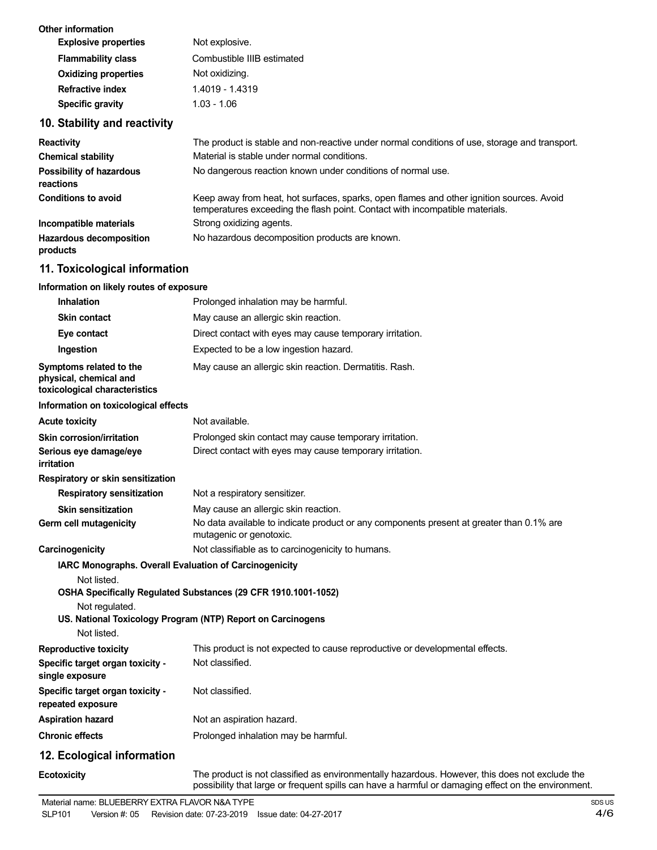| Other information<br><b>Explosive properties</b> | Not explosive.             |
|--------------------------------------------------|----------------------------|
| <b>Flammability class</b>                        | Combustible IIIB estimated |
| <b>Oxidizing properties</b>                      | Not oxidizing.             |
| Refractive index                                 | 1.4019 - 1.4319            |
| <b>Specific gravity</b>                          | $1.03 - 1.06$              |

# **10. Stability and reactivity**

| <b>Reactivity</b>                            | The product is stable and non-reactive under normal conditions of use, storage and transport.                                                                            |
|----------------------------------------------|--------------------------------------------------------------------------------------------------------------------------------------------------------------------------|
| <b>Chemical stability</b>                    | Material is stable under normal conditions.                                                                                                                              |
| <b>Possibility of hazardous</b><br>reactions | No dangerous reaction known under conditions of normal use.                                                                                                              |
| <b>Conditions to avoid</b>                   | Keep away from heat, hot surfaces, sparks, open flames and other ignition sources. Avoid<br>temperatures exceeding the flash point. Contact with incompatible materials. |
| Incompatible materials                       | Strong oxidizing agents.                                                                                                                                                 |
| <b>Hazardous decomposition</b><br>products   | No hazardous decomposition products are known.                                                                                                                           |

# **11. Toxicological information**

#### **Information on likely routes of exposure**

| <b>Inhalation</b>                                                                                             | Prolonged inhalation may be harmful.                                                                                                                                                                  |
|---------------------------------------------------------------------------------------------------------------|-------------------------------------------------------------------------------------------------------------------------------------------------------------------------------------------------------|
| <b>Skin contact</b>                                                                                           | May cause an allergic skin reaction.                                                                                                                                                                  |
| Eye contact                                                                                                   | Direct contact with eyes may cause temporary irritation.                                                                                                                                              |
| Ingestion                                                                                                     | Expected to be a low ingestion hazard.                                                                                                                                                                |
| Symptoms related to the<br>physical, chemical and<br>toxicological characteristics                            | May cause an allergic skin reaction. Dermatitis. Rash.                                                                                                                                                |
| Information on toxicological effects                                                                          |                                                                                                                                                                                                       |
| <b>Acute toxicity</b>                                                                                         | Not available.                                                                                                                                                                                        |
| <b>Skin corrosion/irritation</b>                                                                              | Prolonged skin contact may cause temporary irritation.                                                                                                                                                |
| Serious eye damage/eye<br>irritation                                                                          | Direct contact with eyes may cause temporary irritation.                                                                                                                                              |
| Respiratory or skin sensitization                                                                             |                                                                                                                                                                                                       |
| <b>Respiratory sensitization</b>                                                                              | Not a respiratory sensitizer.                                                                                                                                                                         |
| <b>Skin sensitization</b>                                                                                     | May cause an allergic skin reaction.                                                                                                                                                                  |
| Germ cell mutagenicity                                                                                        | No data available to indicate product or any components present at greater than 0.1% are<br>mutagenic or genotoxic.                                                                                   |
| Carcinogenicity                                                                                               | Not classifiable as to carcinogenicity to humans.                                                                                                                                                     |
| <b>IARC Monographs. Overall Evaluation of Carcinogenicity</b><br>Not listed.<br>Not regulated.<br>Not listed. | OSHA Specifically Regulated Substances (29 CFR 1910.1001-1052)<br>US. National Toxicology Program (NTP) Report on Carcinogens                                                                         |
| <b>Reproductive toxicity</b>                                                                                  | This product is not expected to cause reproductive or developmental effects.                                                                                                                          |
| Specific target organ toxicity -<br>single exposure                                                           | Not classified.                                                                                                                                                                                       |
| Specific target organ toxicity -<br>repeated exposure                                                         | Not classified.                                                                                                                                                                                       |
| <b>Aspiration hazard</b>                                                                                      | Not an aspiration hazard.                                                                                                                                                                             |
| <b>Chronic effects</b>                                                                                        | Prolonged inhalation may be harmful.                                                                                                                                                                  |
| 12. Ecological information                                                                                    |                                                                                                                                                                                                       |
| <b>Ecotoxicity</b>                                                                                            | The product is not classified as environmentally hazardous. However, this does not exclude the<br>possibility that large or frequent spills can have a harmful or damaging effect on the environment. |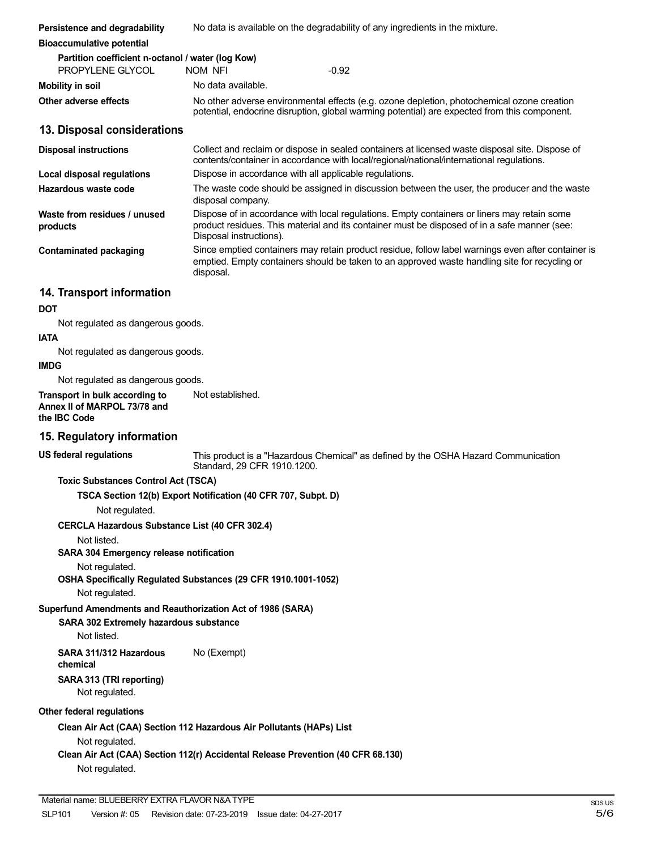| Persistence and degradability                                                                         | No data is available on the degradability of any ingredients in the mixture.                                                                                                                                           |
|-------------------------------------------------------------------------------------------------------|------------------------------------------------------------------------------------------------------------------------------------------------------------------------------------------------------------------------|
| <b>Bioaccumulative potential</b>                                                                      |                                                                                                                                                                                                                        |
| Partition coefficient n-octanol / water (log Kow)<br>PROPYLENE GLYCOL                                 | $-0.92$<br>NOM NFI                                                                                                                                                                                                     |
| <b>Mobility in soil</b>                                                                               | No data available.                                                                                                                                                                                                     |
| Other adverse effects                                                                                 | No other adverse environmental effects (e.g. ozone depletion, photochemical ozone creation<br>potential, endocrine disruption, global warming potential) are expected from this component.                             |
| 13. Disposal considerations                                                                           |                                                                                                                                                                                                                        |
| <b>Disposal instructions</b>                                                                          | Collect and reclaim or dispose in sealed containers at licensed waste disposal site. Dispose of<br>contents/container in accordance with local/regional/national/international regulations.                            |
| Local disposal regulations                                                                            | Dispose in accordance with all applicable regulations.                                                                                                                                                                 |
| Hazardous waste code                                                                                  | The waste code should be assigned in discussion between the user, the producer and the waste<br>disposal company.                                                                                                      |
| Waste from residues / unused<br>products                                                              | Dispose of in accordance with local regulations. Empty containers or liners may retain some<br>product residues. This material and its container must be disposed of in a safe manner (see:<br>Disposal instructions). |
| <b>Contaminated packaging</b>                                                                         | Since emptied containers may retain product residue, follow label warnings even after container is<br>emptied. Empty containers should be taken to an approved waste handling site for recycling or<br>disposal.       |
| 14. Transport information                                                                             |                                                                                                                                                                                                                        |
| <b>DOT</b>                                                                                            |                                                                                                                                                                                                                        |
| Not regulated as dangerous goods.<br><b>IATA</b>                                                      |                                                                                                                                                                                                                        |
| Not regulated as dangerous goods.                                                                     |                                                                                                                                                                                                                        |
| <b>IMDG</b><br>Not regulated as dangerous goods.                                                      |                                                                                                                                                                                                                        |
| Transport in bulk according to<br>Annex II of MARPOL 73/78 and<br>the IBC Code                        | Not established.                                                                                                                                                                                                       |
| 15. Regulatory information                                                                            |                                                                                                                                                                                                                        |
| <b>US federal regulations</b>                                                                         | This product is a "Hazardous Chemical" as defined by the OSHA Hazard Communication<br>Standard, 29 CFR 1910.1200.                                                                                                      |
| <b>Toxic Substances Control Act (TSCA)</b><br>Not regulated.                                          | TSCA Section 12(b) Export Notification (40 CFR 707, Subpt. D)                                                                                                                                                          |
| CERCLA Hazardous Substance List (40 CFR 302.4)                                                        |                                                                                                                                                                                                                        |
| Not listed.<br>SARA 304 Emergency release notification<br>Not regulated.                              |                                                                                                                                                                                                                        |
| Not regulated.                                                                                        | OSHA Specifically Regulated Substances (29 CFR 1910.1001-1052)                                                                                                                                                         |
| Superfund Amendments and Reauthorization Act of 1986 (SARA)<br>SARA 302 Extremely hazardous substance |                                                                                                                                                                                                                        |
| Not listed.                                                                                           |                                                                                                                                                                                                                        |
| SARA 311/312 Hazardous<br>chemical                                                                    | No (Exempt)                                                                                                                                                                                                            |
| SARA 313 (TRI reporting)<br>Not regulated.                                                            |                                                                                                                                                                                                                        |
| Other federal regulations                                                                             |                                                                                                                                                                                                                        |
|                                                                                                       | Clean Air Act (CAA) Section 112 Hazardous Air Pollutants (HAPs) List                                                                                                                                                   |
| Not regulated.<br>Not regulated.                                                                      | Clean Air Act (CAA) Section 112(r) Accidental Release Prevention (40 CFR 68.130)                                                                                                                                       |
| Material name: BLUEBERRY EXTRA FLAVOR N&A TYPE                                                        |                                                                                                                                                                                                                        |
|                                                                                                       |                                                                                                                                                                                                                        |